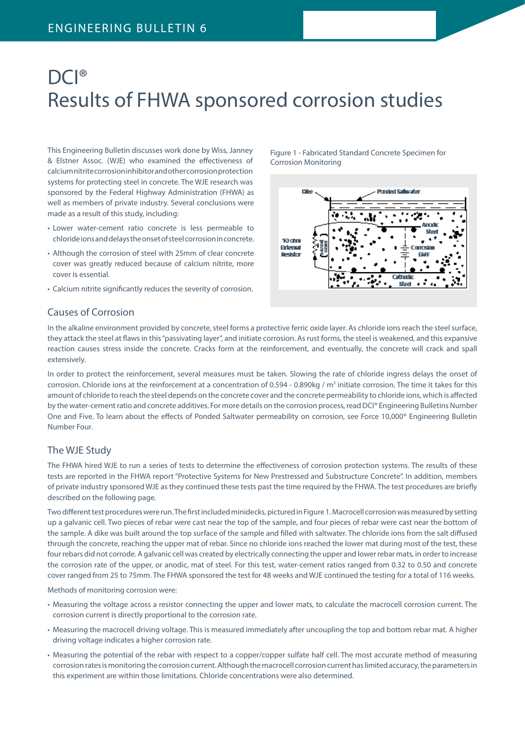# DCI<sup>®</sup> Results of FHWA sponsored corrosion studies

This Engineering Bulletin discusses work done by Wiss, Janney & Elstner Assoc. (WJE) who examined the effectiveness of calcium nitrite corrosion inhibitor and other corrosion protection systems for protecting steel in concrete. The WJE research was sponsored by the Federal Highway Administration (FHWA) as well as members of private industry. Several conclusions were made as a result of this study, including:

- Lower water-cement ratio concrete is less permeable to chloride ions and delays the onset of steel corrosion in concrete.
- Although the corrosion of steel with 25mm of clear concrete cover was greatly reduced because of calcium nitrite, more cover is essential.
- Calcium nitrite significantly reduces the severity of corrosion.

### Causes of Corrosion

In the alkaline environment provided by concrete, steel forms a protective ferric oxide layer. As chloride ions reach the steel surface, they attack the steel at flaws in this "passivating layer", and initiate corrosion. As rust forms, the steel is weakened, and this expansive reaction causes stress inside the concrete. Cracks form at the reinforcement, and eventually, the concrete will crack and spall extensively.

In order to protect the reinforcement, several measures must be taken. Slowing the rate of chloride ingress delays the onset of corrosion. Chloride ions at the reinforcement at a concentration of 0.594 - 0.890kg / m<sup>3</sup> initiate corrosion. The time it takes for this amount of chloride to reach the steel depends on the concrete cover and the concrete permeability to chloride ions, which is affected by the water-cement ratio and concrete additives. For more details on the corrosion process, read DCI® Engineering Bulletins Number One and Five. To learn about the effects of Ponded Saltwater permeability on corrosion, see Force 10,000® Engineering Bulletin Number Four.

### The WJE Study

The FHWA hired WJE to run a series of tests to determine the effectiveness of corrosion protection systems. The results of these tests are reported in the FHWA report "Protective Systems for New Prestressed and Substructure Concrete". In addition, members of private industry sponsored WJE as they continued these tests past the time required by the FHWA. The test procedures are briefly described on the following page.

Two different test procedures were run. The first included minidecks, pictured in Figure 1. Macrocell corrosion was measured by setting up a galvanic cell. Two pieces of rebar were cast near the top of the sample, and four pieces of rebar were cast near the bottom of the sample. A dike was built around the top surface of the sample and filled with saltwater. The chloride ions from the salt diffused through the concrete, reaching the upper mat of rebar. Since no chloride ions reached the lower mat during most of the test, these four rebars did not corrode. A galvanic cell was created by electrically connecting the upper and lower rebar mats, in order to increase the corrosion rate of the upper, or anodic, mat of steel. For this test, water-cement ratios ranged from 0.32 to 0.50 and concrete cover ranged from 25 to 75mm. The FHWA sponsored the test for 48 weeks and WJE continued the testing for a total of 116 weeks.

Methods of monitoring corrosion were:

- Measuring the voltage across a resistor connecting the upper and lower mats, to calculate the macrocell corrosion current. The corrosion current is directly proportional to the corrosion rate.
- Measuring the macrocell driving voltage. This is measured immediately after uncoupling the top and bottom rebar mat. A higher driving voltage indicates a higher corrosion rate.
- Measuring the potential of the rebar with respect to a copper/copper sulfate half cell. The most accurate method of measuring corrosion rates is monitoring the corrosion current. Although the macrocell corrosion current has limited accuracy, the parameters in this experiment are within those limitations. Chloride concentrations were also determined.

rako imotori Caliceator 10 dm **Britanni** Reador Cathoria

Steel

Figure 1 - Fabricated Standard Concrete Specimen for

Corrosion Monitoring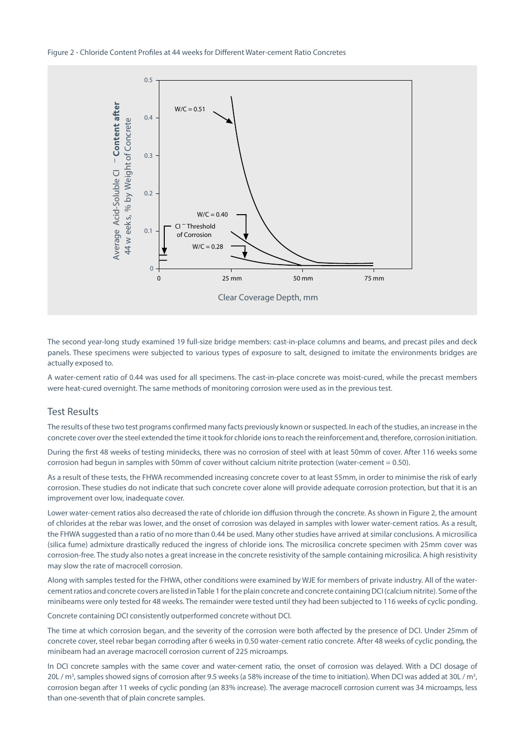

The second year-long study examined 19 full-size bridge members: cast-in-place columns and beams, and precast piles and deck panels. These specimens were subjected to various types of exposure to salt, designed to imitate the environments bridges are actually exposed to.

A water-cement ratio of 0.44 was used for all specimens. The cast-in-place concrete was moist-cured, while the precast members were heat-cured overnight. The same methods of monitoring corrosion were used as in the previous test.

#### Test Results

The results of these two test programs confirmed many facts previously known or suspected. In each of the studies, an increase in the concrete cover over the steel extended the time it took for chloride ions to reach the reinforcement and, therefore, corrosion initiation.

During the first 48 weeks of testing minidecks, there was no corrosion of steel with at least 50mm of cover. After 116 weeks some corrosion had begun in samples with 50mm of cover without calcium nitrite protection (water-cement = 0.50).

As a result of these tests, the FHWA recommended increasing concrete cover to at least 55mm, in order to minimise the risk of early corrosion. These studies do not indicate that such concrete cover alone will provide adequate corrosion protection, but that it is an improvement over low, inadequate cover.

Lower water-cement ratios also decreased the rate of chloride ion diffusion through the concrete. As shown in Figure 2, the amount of chlorides at the rebar was lower, and the onset of corrosion was delayed in samples with lower water-cement ratios. As a result, the FHWA suggested than a ratio of no more than 0.44 be used. Many other studies have arrived at similar conclusions. A microsilica (silica fume) admixture drastically reduced the ingress of chloride ions. The microsilica concrete specimen with 25mm cover was corrosion-free. The study also notes a great increase in the concrete resistivity of the sample containing microsilica. A high resistivity may slow the rate of macrocell corrosion.

Along with samples tested for the FHWA, other conditions were examined by WJE for members of private industry. All of the watercement ratios and concrete covers are listed in Table 1 for the plain concrete and concrete containing DCI (calcium nitrite). Some of the minibeams were only tested for 48 weeks. The remainder were tested until they had been subjected to 116 weeks of cyclic ponding.

Concrete containing DCI consistently outperformed concrete without DCI.

The time at which corrosion began, and the severity of the corrosion were both affected by the presence of DCI. Under 25mm of concrete cover, steel rebar began corroding after 6 weeks in 0.50 water-cement ratio concrete. After 48 weeks of cyclic ponding, the minibeam had an average macrocell corrosion current of 225 microamps.

In DCI concrete samples with the same cover and water-cement ratio, the onset of corrosion was delayed. With a DCI dosage of 20L /  $m^3$ , samples showed signs of corrosion after 9.5 weeks (a 58% increase of the time to initiation). When DCI was added at 30L /  $m^3$ , corrosion began after 11 weeks of cyclic ponding (an 83% increase). The average macrocell corrosion current was 34 microamps, less than one-seventh that of plain concrete samples.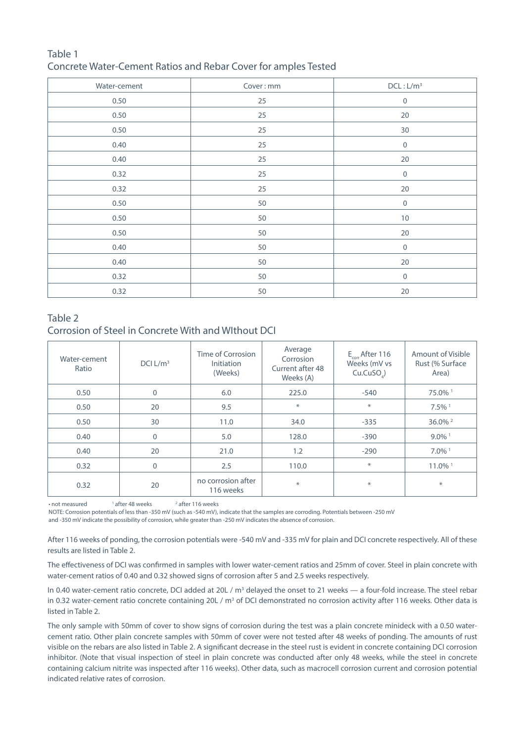## Table 1 Concrete Water-Cement Ratios and Rebar Cover for amples Tested

| Water-cement | Cover: mm         | DCL: L/m <sup>3</sup> |  |
|--------------|-------------------|-----------------------|--|
| 0.50         | 25                | $\mathbf 0$           |  |
| 0.50         | 25                | 20                    |  |
| 0.50         | 25                | 30                    |  |
| 0.40         | 25                | $\mathbf 0$           |  |
| 0.40         | 25                | $20\,$                |  |
| 0.32         | 25                | $\boldsymbol{0}$      |  |
| 0.32         | 25                | $20\,$                |  |
| 0.50         | 50                | $\mathsf{O}\xspace$   |  |
| 0.50         | 50                | $10\,$                |  |
| 0.50         | 50                | 20                    |  |
| 0.40         | 50                | $\boldsymbol{0}$      |  |
| 0.40         | 50                | 20                    |  |
| 0.32         | 50<br>$\mathbf 0$ |                       |  |
| 0.32         | 50<br>$20\,$      |                       |  |

## Table 2

## Corrosion of Steel in Concrete With and WIthout DCI

| Water-cement<br>Ratio | DCI L/m <sup>3</sup> | Time of Corrosion<br>Initiation<br>(Weeks) | Average<br>Corrosion<br>Current after 48<br>Weeks (A) | $E_{\text{corr}}$ After 116<br>Weeks (mV vs<br>Cu.CuSO <sub>a</sub> ) | Amount of Visible<br>Rust (% Surface)<br>Area) |
|-----------------------|----------------------|--------------------------------------------|-------------------------------------------------------|-----------------------------------------------------------------------|------------------------------------------------|
| 0.50                  | $\mathbf 0$          | 6.0                                        | 225.0                                                 | $-540$                                                                | 75.0% 1                                        |
| 0.50                  | 20                   | 9.5                                        | $\ast$                                                | $\ast$                                                                | $7.5\%$ <sup>1</sup>                           |
| 0.50                  | 30                   | 11.0                                       | 34.0                                                  | $-335$                                                                | $36.0\%$ <sup>2</sup>                          |
| 0.40                  | $\mathbf{0}$         | 5.0                                        | 128.0                                                 | $-390$                                                                | $9.0\%$ <sup>1</sup>                           |
| 0.40                  | 20                   | 21.0                                       | 1.2                                                   | $-290$                                                                | $7.0\%$ <sup>1</sup>                           |
| 0.32                  | $\mathbf 0$          | 2.5                                        | 110.0                                                 | $\ast$                                                                | 11.0% <sup>1</sup>                             |
| 0.32                  | 20                   | no corrosion after<br>116 weeks            | $\ast$                                                | $\ast$                                                                | $\ast$                                         |

• not measured 1  $1$  after 48 weeks <sup>2</sup> after 116 weeks

NOTE: Corrosion potentials of less than -350 mV (such as -540 mV), indicate that the samples are corroding. Potentials between -250 mV

and -350 mV indicate the possibility of corrosion, while greater than -250 mV indicates the absence of corrosion.

After 116 weeks of ponding, the corrosion potentials were -540 mV and -335 mV for plain and DCI concrete respectively. All of these results are listed in Table 2.

The effectiveness of DCI was confirmed in samples with lower water-cement ratios and 25mm of cover. Steel in plain concrete with water-cement ratios of 0.40 and 0.32 showed signs of corrosion after 5 and 2.5 weeks respectively.

In 0.40 water-cement ratio concrete, DCI added at 20L / m<sup>3</sup> delayed the onset to 21 weeks — a four-fold increase. The steel rebar in 0.32 water-cement ratio concrete containing 20L /  $m<sup>3</sup>$  of DCI demonstrated no corrosion activity after 116 weeks. Other data is listed in Table 2.

The only sample with 50mm of cover to show signs of corrosion during the test was a plain concrete minideck with a 0.50 watercement ratio. Other plain concrete samples with 50mm of cover were not tested after 48 weeks of ponding. The amounts of rust visible on the rebars are also listed in Table 2. A significant decrease in the steel rust is evident in concrete containing DCI corrosion inhibitor. (Note that visual inspection of steel in plain concrete was conducted after only 48 weeks, while the steel in concrete containing calcium nitrite was inspected after 116 weeks). Other data, such as macrocell corrosion current and corrosion potential indicated relative rates of corrosion.